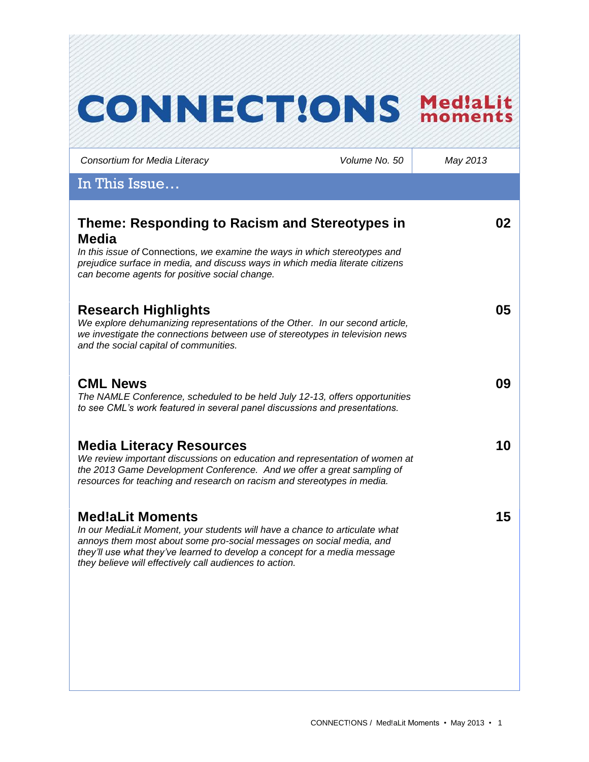# **CONNECT!ONS Med!aLit** *Consortium for Media Literacy Volume No. 50 May 2013* In This Issue… **Theme: Responding to Racism and Stereotypes in 02 Media** *In this issue of* Connections*, we examine the ways in which stereotypes and prejudice surface in media, and discuss ways in which media literate citizens can become agents for positive social change.*  **Research Highlights 05** *We explore dehumanizing representations of the Other. In our second article, we investigate the connections between use of stereotypes in television news and the social capital of communities.*  **09 CML News**  *The NAMLE Conference, scheduled to be held July 12-13, offers opportunities to see CML's work featured in several panel discussions and presentations.* **10 Media Literacy Resources** *We review important discussions on education and representation of women at the 2013 Game Development Conference. And we offer a great sampling of resources for teaching and research on racism and stereotypes in media.*  **Med!aLit Moments 15***In our MediaLit Moment, your students will have a chance to articulate what annoys them most about some pro-social messages on social media, and they'll use what they've learned to develop a concept for a media message they believe will effectively call audiences to action.*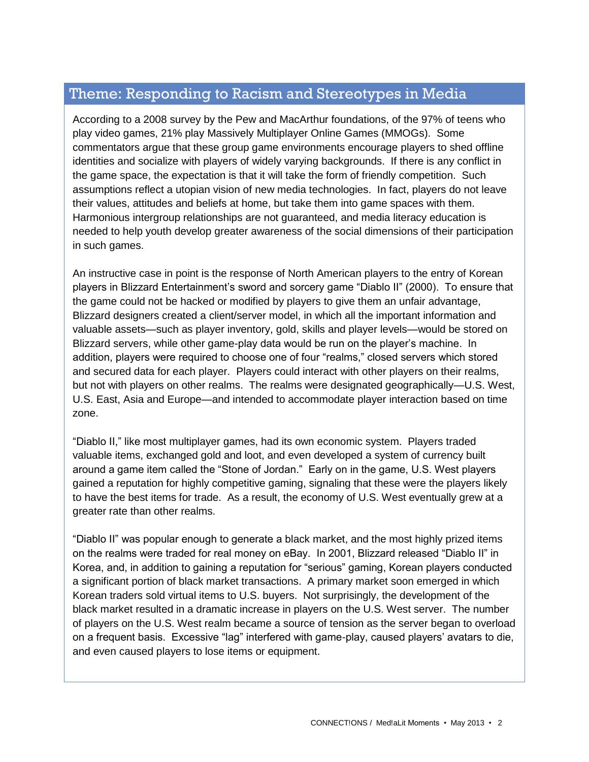# Theme: Responding to Racism and Stereotypes in Media

According to a 2008 survey by the Pew and MacArthur foundations, of the 97% of teens who play video games, 21% play Massively Multiplayer Online Games (MMOGs). Some commentators argue that these group game environments encourage players to shed offline identities and socialize with players of widely varying backgrounds. If there is any conflict in the game space, the expectation is that it will take the form of friendly competition. Such assumptions reflect a utopian vision of new media technologies. In fact, players do not leave their values, attitudes and beliefs at home, but take them into game spaces with them. Harmonious intergroup relationships are not guaranteed, and media literacy education is needed to help youth develop greater awareness of the social dimensions of their participation in such games.

An instructive case in point is the response of North American players to the entry of Korean players in Blizzard Entertainment's sword and sorcery game "Diablo II" (2000). To ensure that the game could not be hacked or modified by players to give them an unfair advantage, Blizzard designers created a client/server model, in which all the important information and valuable assets—such as player inventory, gold, skills and player levels—would be stored on Blizzard servers, while other game-play data would be run on the player's machine. In addition, players were required to choose one of four "realms," closed servers which stored and secured data for each player. Players could interact with other players on their realms, but not with players on other realms. The realms were designated geographically—U.S. West, U.S. East, Asia and Europe—and intended to accommodate player interaction based on time zone.

"Diablo II," like most multiplayer games, had its own economic system. Players traded valuable items, exchanged gold and loot, and even developed a system of currency built around a game item called the "Stone of Jordan." Early on in the game, U.S. West players gained a reputation for highly competitive gaming, signaling that these were the players likely to have the best items for trade. As a result, the economy of U.S. West eventually grew at a greater rate than other realms.

"Diablo II" was popular enough to generate a black market, and the most highly prized items on the realms were traded for real money on eBay. In 2001, Blizzard released "Diablo II" in Korea, and, in addition to gaining a reputation for "serious" gaming, Korean players conducted a significant portion of black market transactions. A primary market soon emerged in which Korean traders sold virtual items to U.S. buyers. Not surprisingly, the development of the black market resulted in a dramatic increase in players on the U.S. West server. The number of players on the U.S. West realm became a source of tension as the server began to overload on a frequent basis. Excessive "lag" interfered with game-play, caused players' avatars to die, and even caused players to lose items or equipment.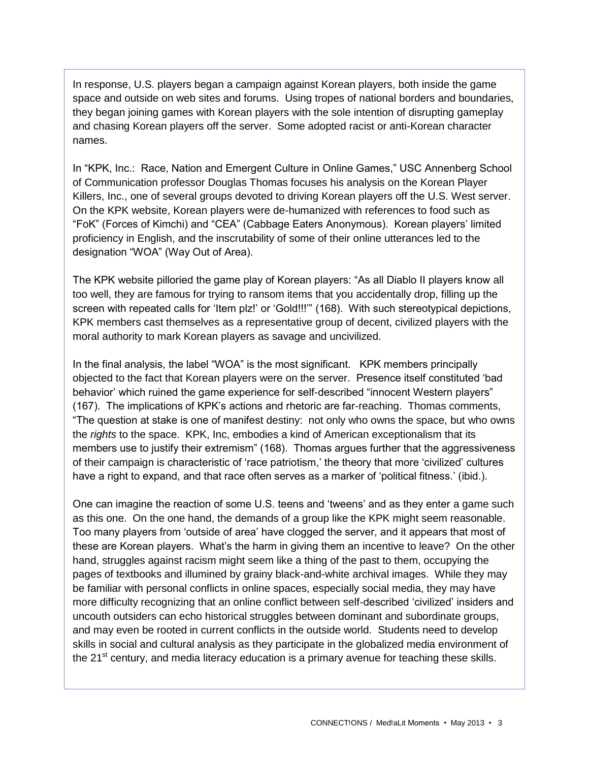In response, U.S. players began a campaign against Korean players, both inside the game space and outside on web sites and forums. Using tropes of national borders and boundaries, they began joining games with Korean players with the sole intention of disrupting gameplay and chasing Korean players off the server. Some adopted racist or anti-Korean character names.

In "KPK, Inc.: Race, Nation and Emergent Culture in Online Games," USC Annenberg School of Communication professor Douglas Thomas focuses his analysis on the Korean Player Killers, Inc., one of several groups devoted to driving Korean players off the U.S. West server. On the KPK website, Korean players were de-humanized with references to food such as "FoK" (Forces of Kimchi) and "CEA" (Cabbage Eaters Anonymous). Korean players' limited proficiency in English, and the inscrutability of some of their online utterances led to the designation "WOA" (Way Out of Area).

The KPK website pilloried the game play of Korean players: "As all Diablo II players know all too well, they are famous for trying to ransom items that you accidentally drop, filling up the screen with repeated calls for 'Item plz!' or 'Gold!!!'" (168). With such stereotypical depictions, KPK members cast themselves as a representative group of decent, civilized players with the moral authority to mark Korean players as savage and uncivilized.

In the final analysis, the label "WOA" is the most significant. KPK members principally objected to the fact that Korean players were on the server. Presence itself constituted 'bad behavior' which ruined the game experience for self-described "innocent Western players" (167). The implications of KPK's actions and rhetoric are far-reaching. Thomas comments, "The question at stake is one of manifest destiny: not only who owns the space, but who owns the *rights* to the space. KPK, Inc, embodies a kind of American exceptionalism that its members use to justify their extremism" (168). Thomas argues further that the aggressiveness of their campaign is characteristic of 'race patriotism,' the theory that more 'civilized' cultures have a right to expand, and that race often serves as a marker of 'political fitness.' (ibid.).

One can imagine the reaction of some U.S. teens and 'tweens' and as they enter a game such as this one. On the one hand, the demands of a group like the KPK might seem reasonable. Too many players from 'outside of area' have clogged the server, and it appears that most of these are Korean players. What's the harm in giving them an incentive to leave? On the other hand, struggles against racism might seem like a thing of the past to them, occupying the pages of textbooks and illumined by grainy black-and-white archival images. While they may be familiar with personal conflicts in online spaces, especially social media, they may have more difficulty recognizing that an online conflict between self-described 'civilized' insiders and uncouth outsiders can echo historical struggles between dominant and subordinate groups, and may even be rooted in current conflicts in the outside world. Students need to develop skills in social and cultural analysis as they participate in the globalized media environment of the 21 $<sup>st</sup>$  century, and media literacy education is a primary avenue for teaching these skills.</sup>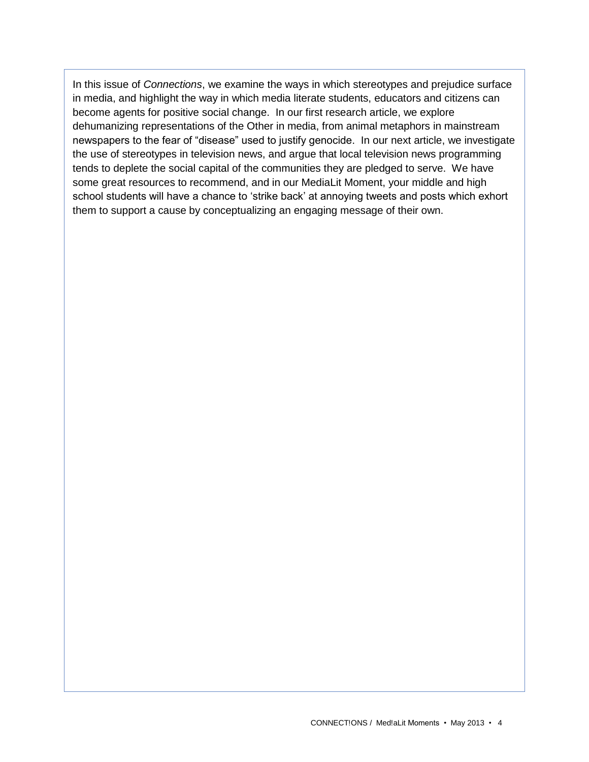In this issue of *Connections*, we examine the ways in which stereotypes and prejudice surface in media, and highlight the way in which media literate students, educators and citizens can become agents for positive social change. In our first research article, we explore dehumanizing representations of the Other in media, from animal metaphors in mainstream newspapers to the fear of "disease" used to justify genocide. In our next article, we investigate the use of stereotypes in television news, and argue that local television news programming tends to deplete the social capital of the communities they are pledged to serve. We have some great resources to recommend, and in our MediaLit Moment, your middle and high school students will have a chance to 'strike back' at annoying tweets and posts which exhort them to support a cause by conceptualizing an engaging message of their own.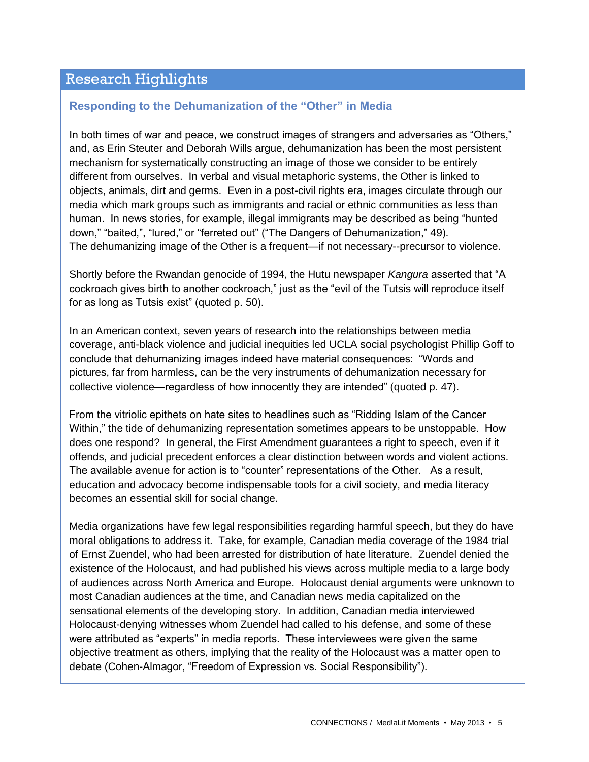# Research Highlights

### **Responding to the Dehumanization of the "Other" in Media**

In both times of war and peace, we construct images of strangers and adversaries as "Others," and, as Erin Steuter and Deborah Wills argue, dehumanization has been the most persistent mechanism for systematically constructing an image of those we consider to be entirely different from ourselves. In verbal and visual metaphoric systems, the Other is linked to objects, animals, dirt and germs. Even in a post-civil rights era, images circulate through our media which mark groups such as immigrants and racial or ethnic communities as less than human. In news stories, for example, illegal immigrants may be described as being "hunted down," "baited,", "lured," or "ferreted out" ("The Dangers of Dehumanization," 49). The dehumanizing image of the Other is a frequent—if not necessary--precursor to violence.

Shortly before the Rwandan genocide of 1994, the Hutu newspaper *Kangura* asserted that "A cockroach gives birth to another cockroach," just as the "evil of the Tutsis will reproduce itself for as long as Tutsis exist" (quoted p. 50).

In an American context, seven years of research into the relationships between media coverage, anti-black violence and judicial inequities led UCLA social psychologist Phillip Goff to conclude that dehumanizing images indeed have material consequences: "Words and pictures, far from harmless, can be the very instruments of dehumanization necessary for collective violence—regardless of how innocently they are intended" (quoted p. 47).

From the vitriolic epithets on hate sites to headlines such as "Ridding Islam of the Cancer Within," the tide of dehumanizing representation sometimes appears to be unstoppable. How does one respond? In general, the First Amendment guarantees a right to speech, even if it offends, and judicial precedent enforces a clear distinction between words and violent actions. The available avenue for action is to "counter" representations of the Other. As a result, education and advocacy become indispensable tools for a civil society, and media literacy becomes an essential skill for social change.

Media organizations have few legal responsibilities regarding harmful speech, but they do have moral obligations to address it. Take, for example, Canadian media coverage of the 1984 trial of Ernst Zuendel, who had been arrested for distribution of hate literature. Zuendel denied the existence of the Holocaust, and had published his views across multiple media to a large body of audiences across North America and Europe. Holocaust denial arguments were unknown to most Canadian audiences at the time, and Canadian news media capitalized on the sensational elements of the developing story. In addition, Canadian media interviewed Holocaust-denying witnesses whom Zuendel had called to his defense, and some of these were attributed as "experts" in media reports. These interviewees were given the same objective treatment as others, implying that the reality of the Holocaust was a matter open to debate (Cohen-Almagor, "Freedom of Expression vs. Social Responsibility").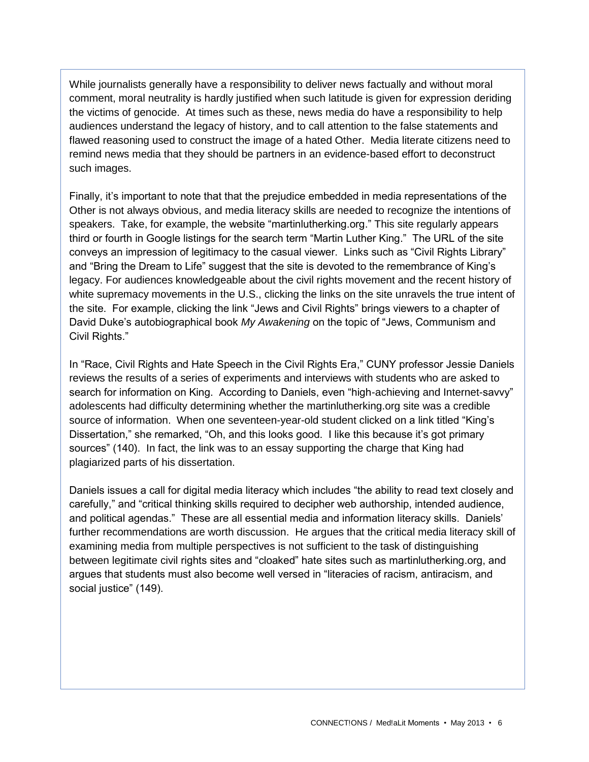While journalists generally have a responsibility to deliver news factually and without moral comment, moral neutrality is hardly justified when such latitude is given for expression deriding the victims of genocide. At times such as these, news media do have a responsibility to help audiences understand the legacy of history, and to call attention to the false statements and flawed reasoning used to construct the image of a hated Other. Media literate citizens need to remind news media that they should be partners in an evidence-based effort to deconstruct such images.

Finally, it's important to note that that the prejudice embedded in media representations of the Other is not always obvious, and media literacy skills are needed to recognize the intentions of speakers. Take, for example, the website "martinlutherking.org." This site regularly appears third or fourth in Google listings for the search term "Martin Luther King." The URL of the site conveys an impression of legitimacy to the casual viewer. Links such as "Civil Rights Library" and "Bring the Dream to Life" suggest that the site is devoted to the remembrance of King's legacy. For audiences knowledgeable about the civil rights movement and the recent history of white supremacy movements in the U.S., clicking the links on the site unravels the true intent of the site. For example, clicking the link "Jews and Civil Rights" brings viewers to a chapter of David Duke's autobiographical book *My Awakening* on the topic of "Jews, Communism and Civil Rights."

In "Race, Civil Rights and Hate Speech in the Civil Rights Era," CUNY professor Jessie Daniels reviews the results of a series of experiments and interviews with students who are asked to search for information on King. According to Daniels, even "high-achieving and Internet-savvy" adolescents had difficulty determining whether the martinlutherking.org site was a credible source of information. When one seventeen-year-old student clicked on a link titled "King's Dissertation," she remarked, "Oh, and this looks good. I like this because it's got primary sources" (140). In fact, the link was to an essay supporting the charge that King had plagiarized parts of his dissertation.

Daniels issues a call for digital media literacy which includes "the ability to read text closely and carefully," and "critical thinking skills required to decipher web authorship, intended audience, and political agendas." These are all essential media and information literacy skills. Daniels' further recommendations are worth discussion. He argues that the critical media literacy skill of examining media from multiple perspectives is not sufficient to the task of distinguishing between legitimate civil rights sites and "cloaked" hate sites such as martinlutherking.org, and argues that students must also become well versed in "literacies of racism, antiracism, and social justice" (149).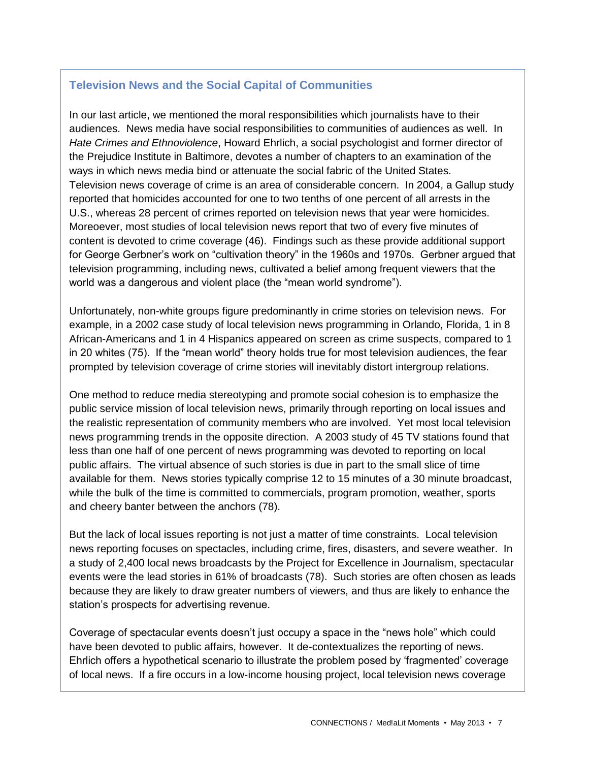### **Television News and the Social Capital of Communities**

In our last article, we mentioned the moral responsibilities which journalists have to their audiences. News media have social responsibilities to communities of audiences as well. In *Hate Crimes and Ethnoviolence*, Howard Ehrlich, a social psychologist and former director of the Prejudice Institute in Baltimore, devotes a number of chapters to an examination of the ways in which news media bind or attenuate the social fabric of the United States. Television news coverage of crime is an area of considerable concern. In 2004, a Gallup study reported that homicides accounted for one to two tenths of one percent of all arrests in the U.S., whereas 28 percent of crimes reported on television news that year were homicides. Moreoever, most studies of local television news report that two of every five minutes of content is devoted to crime coverage (46). Findings such as these provide additional support for George Gerbner's work on "cultivation theory" in the 1960s and 1970s. Gerbner argued that television programming, including news, cultivated a belief among frequent viewers that the world was a dangerous and violent place (the "mean world syndrome").

Unfortunately, non-white groups figure predominantly in crime stories on television news. For example, in a 2002 case study of local television news programming in Orlando, Florida, 1 in 8 African-Americans and 1 in 4 Hispanics appeared on screen as crime suspects, compared to 1 in 20 whites (75). If the "mean world" theory holds true for most television audiences, the fear prompted by television coverage of crime stories will inevitably distort intergroup relations.

One method to reduce media stereotyping and promote social cohesion is to emphasize the public service mission of local television news, primarily through reporting on local issues and the realistic representation of community members who are involved. Yet most local television news programming trends in the opposite direction. A 2003 study of 45 TV stations found that less than one half of one percent of news programming was devoted to reporting on local public affairs. The virtual absence of such stories is due in part to the small slice of time available for them. News stories typically comprise 12 to 15 minutes of a 30 minute broadcast, while the bulk of the time is committed to commercials, program promotion, weather, sports and cheery banter between the anchors (78).

But the lack of local issues reporting is not just a matter of time constraints. Local television news reporting focuses on spectacles, including crime, fires, disasters, and severe weather. In a study of 2,400 local news broadcasts by the Project for Excellence in Journalism, spectacular events were the lead stories in 61% of broadcasts (78). Such stories are often chosen as leads because they are likely to draw greater numbers of viewers, and thus are likely to enhance the station's prospects for advertising revenue.

Coverage of spectacular events doesn't just occupy a space in the "news hole" which could have been devoted to public affairs, however. It de-contextualizes the reporting of news. Ehrlich offers a hypothetical scenario to illustrate the problem posed by 'fragmented' coverage of local news. If a fire occurs in a low-income housing project, local television news coverage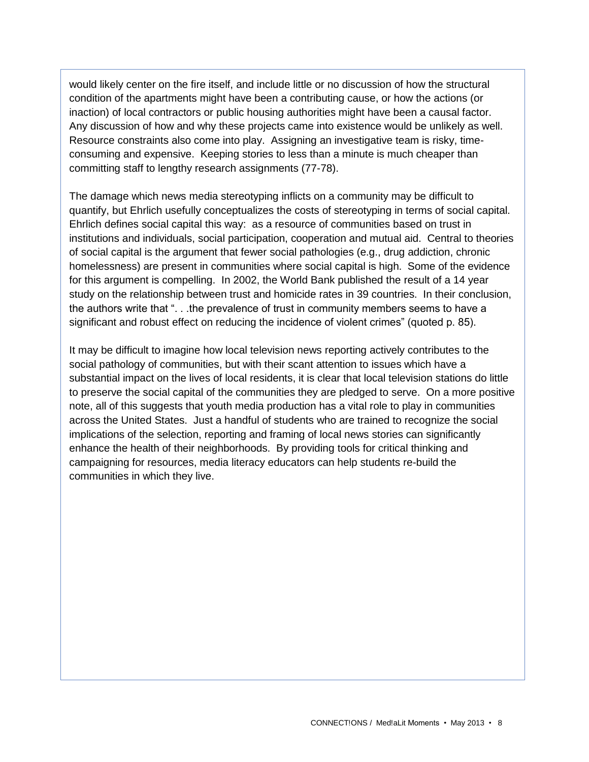would likely center on the fire itself, and include little or no discussion of how the structural condition of the apartments might have been a contributing cause, or how the actions (or inaction) of local contractors or public housing authorities might have been a causal factor. Any discussion of how and why these projects came into existence would be unlikely as well. Resource constraints also come into play. Assigning an investigative team is risky, timeconsuming and expensive. Keeping stories to less than a minute is much cheaper than committing staff to lengthy research assignments (77-78).

The damage which news media stereotyping inflicts on a community may be difficult to quantify, but Ehrlich usefully conceptualizes the costs of stereotyping in terms of social capital. Ehrlich defines social capital this way: as a resource of communities based on trust in institutions and individuals, social participation, cooperation and mutual aid. Central to theories of social capital is the argument that fewer social pathologies (e.g., drug addiction, chronic homelessness) are present in communities where social capital is high. Some of the evidence for this argument is compelling. In 2002, the World Bank published the result of a 14 year study on the relationship between trust and homicide rates in 39 countries. In their conclusion, the authors write that ". . .the prevalence of trust in community members seems to have a significant and robust effect on reducing the incidence of violent crimes" (quoted p. 85).

It may be difficult to imagine how local television news reporting actively contributes to the social pathology of communities, but with their scant attention to issues which have a substantial impact on the lives of local residents, it is clear that local television stations do little to preserve the social capital of the communities they are pledged to serve. On a more positive note, all of this suggests that youth media production has a vital role to play in communities across the United States. Just a handful of students who are trained to recognize the social implications of the selection, reporting and framing of local news stories can significantly enhance the health of their neighborhoods. By providing tools for critical thinking and campaigning for resources, media literacy educators can help students re-build the communities in which they live.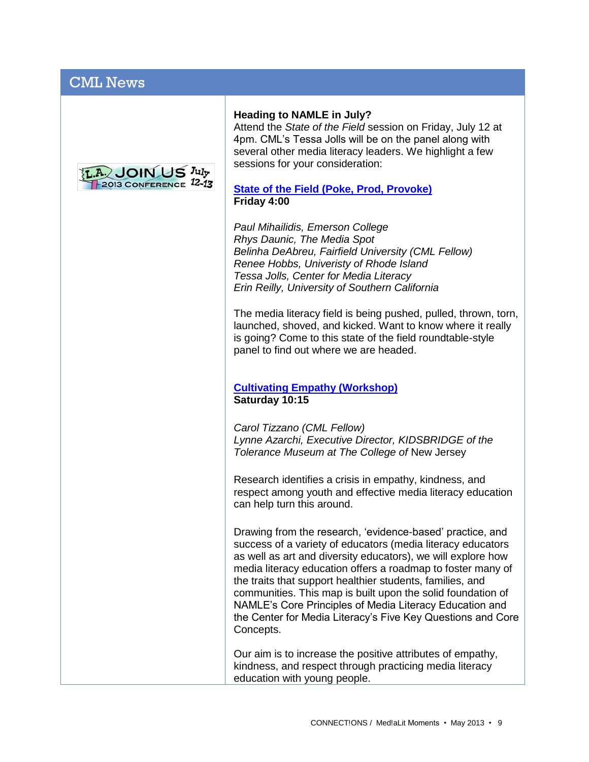### CML News



#### **Heading to NAMLE in July?**

Attend the *State of the Field* session on Friday, July 12 at 4pm. CML's Tessa Jolls will be on the panel along with several other media literacy leaders. We highlight a few sessions for your consideration:

#### **[State of the Field \(Poke, Prod, Provoke\)](http://namle.net/conference/sessions/friday-july-12/friday-session-3/) Friday 4:00**

*Paul Mihailidis, Emerson College Rhys Daunic, The Media Spot Belinha DeAbreu, Fairfield University (CML Fellow) Renee Hobbs, Univeristy of Rhode Island Tessa Jolls, Center for Media Literacy Erin Reilly, University of Southern California*

The media literacy field is being pushed, pulled, thrown, torn, launched, shoved, and kicked. Want to know where it really is going? Come to this state of the field roundtable-style panel to find out where we are headed.

### **[Cultivating Empathy \(Workshop\)](http://namle.net/conference/sessions/saturday-july-13/) Saturday 10:15**

*Carol Tizzano (CML Fellow) Lynne Azarchi, Executive Director, KIDSBRIDGE of the Tolerance Museum at The College of* New Jersey

Research identifies a crisis in empathy, kindness, and respect among youth and effective media literacy education can help turn this around.

Drawing from the research, 'evidence-based' practice, and success of a variety of educators (media literacy educators as well as art and diversity educators), we will explore how media literacy education offers a roadmap to foster many of the traits that support healthier students, families, and communities. This map is built upon the solid foundation of NAMLE's Core Principles of Media Literacy Education and the Center for Media Literacy's Five Key Questions and Core Concepts.

Our aim is to increase the positive attributes of empathy, kindness, and respect through practicing media literacy education with young people.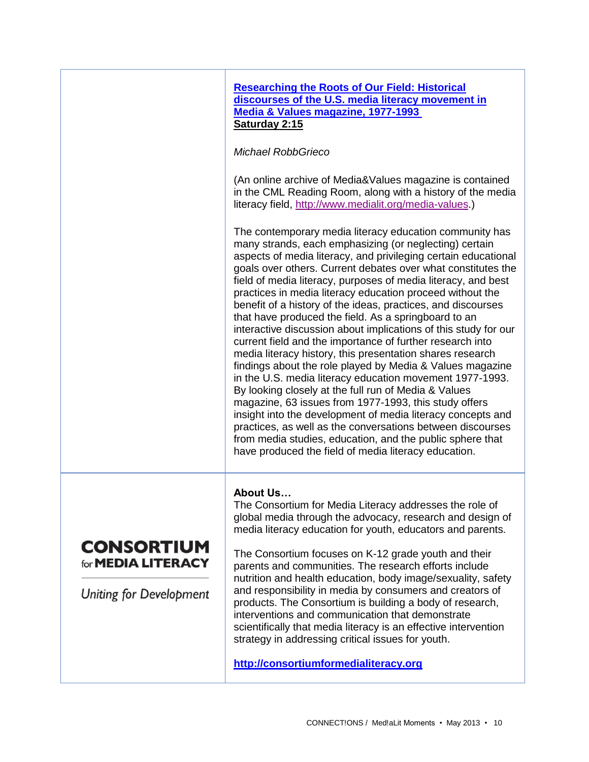| <b>Researching the Roots of Our Field: Historical</b> |
|-------------------------------------------------------|
| discourses of the U.S. media literacy movement in     |
| Media & Values magazine, 1977-1993                    |
| Saturday 2:15                                         |

#### *Michael RobbGrieco*

(An online archive of Media&Values magazine is contained in the CML Reading Room, along with a history of the media literacy field, [http://www.medialit.org/media-values.](http://www.medialit.org/media-values))

The contemporary media literacy education community has many strands, each emphasizing (or neglecting) certain aspects of media literacy, and privileging certain educational goals over others. Current debates over what constitutes the field of media literacy, purposes of media literacy, and best practices in media literacy education proceed without the benefit of a history of the ideas, practices, and discourses that have produced the field. As a springboard to an interactive discussion about implications of this study for our current field and the importance of further research into media literacy history, this presentation shares research findings about the role played by Media & Values magazine in the U.S. media literacy education movement 1977-1993. By looking closely at the full run of Media & Values magazine, 63 issues from 1977-1993, this study offers insight into the development of media literacy concepts and practices, as well as the conversations between discourses from media studies, education, and the public sphere that have produced the field of media literacy education.

### **About Us…**

The Consortium for Media Literacy addresses the role of global media through the advocacy, research and design of media literacy education for youth, educators and parents.

## **CONSORTIUM** for **MEDIA LITERACY**

Uniting for Development

The Consortium focuses on K-12 grade youth and their parents and communities. The research efforts include nutrition and health education, body image/sexuality, safety and responsibility in media by consumers and creators of products. The Consortium is building a body of research, interventions and communication that demonstrate scientifically that media literacy is an effective intervention strategy in addressing critical issues for youth.

**[http://consortiumformedialiteracy.org](http://consortiumformedialiteracy.org/)**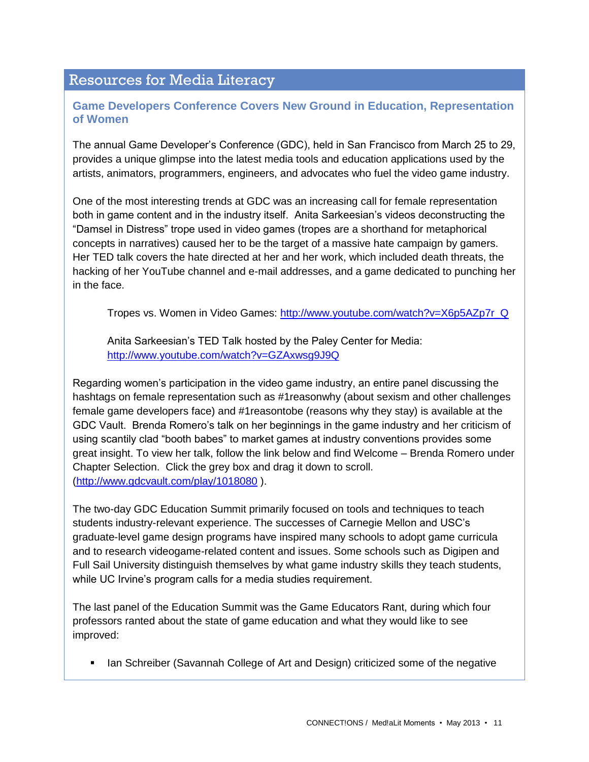# Resources for Media Literacy

### **Game Developers Conference Covers New Ground in Education, Representation of Women**

The annual Game Developer's Conference (GDC), held in San Francisco from March 25 to 29, provides a unique glimpse into the latest media tools and education applications used by the artists, animators, programmers, engineers, and advocates who fuel the video game industry.

One of the most interesting trends at GDC was an increasing call for female representation both in game content and in the industry itself. Anita Sarkeesian's videos deconstructing the "Damsel in Distress" trope used in video games (tropes are a shorthand for metaphorical concepts in narratives) caused her to be the target of a massive hate campaign by gamers. Her TED talk covers the hate directed at her and her work, which included death threats, the hacking of her YouTube channel and e-mail addresses, and a game dedicated to punching her in the face.

Tropes vs. Women in Video Games: [http://www.youtube.com/watch?v=X6p5AZp7r\\_Q](http://www.youtube.com/watch?v=X6p5AZp7r_Q)

Anita Sarkeesian's TED Talk hosted by the Paley Center for Media: <http://www.youtube.com/watch?v=GZAxwsg9J9Q>

Regarding women's participation in the video game industry, an entire panel discussing the hashtags on female representation such as #1reasonwhy (about sexism and other challenges female game developers face) and #1reasontobe (reasons why they stay) is available at the GDC Vault. Brenda Romero's talk on her beginnings in the game industry and her criticism of using scantily clad "booth babes" to market games at industry conventions provides some great insight. To view her talk, follow the link below and find Welcome – Brenda Romero under Chapter Selection. Click the grey box and drag it down to scroll. [\(http://www.gdcvault.com/play/1018080](http://www.gdcvault.com/play/1018080) ).

The two-day GDC Education Summit primarily focused on tools and techniques to teach students industry-relevant experience. The successes of Carnegie Mellon and USC's graduate-level game design programs have inspired many schools to adopt game curricula and to research videogame-related content and issues. Some schools such as Digipen and Full Sail University distinguish themselves by what game industry skills they teach students, while UC Irvine's program calls for a media studies requirement.

The last panel of the Education Summit was the Game Educators Rant, during which four professors ranted about the state of game education and what they would like to see improved:

Ian Schreiber (Savannah College of Art and Design) criticized some of the negative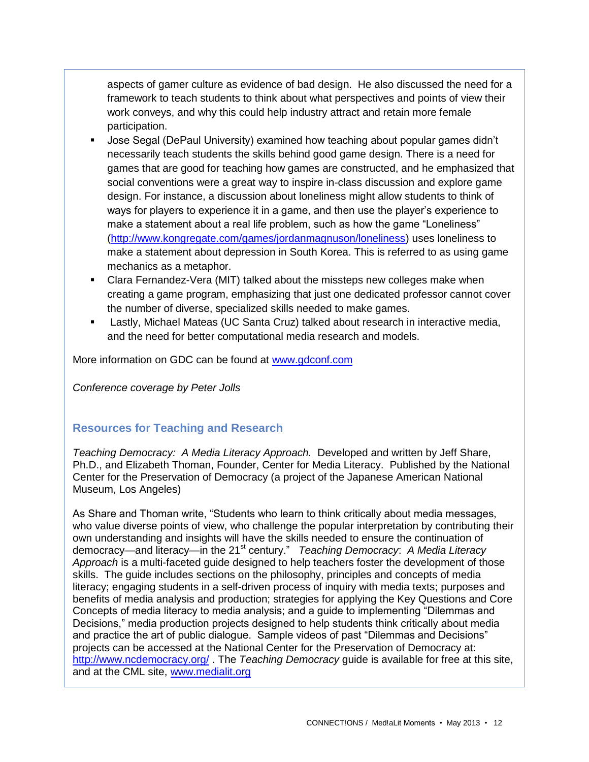aspects of gamer culture as evidence of bad design. He also discussed the need for a framework to teach students to think about what perspectives and points of view their work conveys, and why this could help industry attract and retain more female participation.

- Jose Segal (DePaul University) examined how teaching about popular games didn't necessarily teach students the skills behind good game design. There is a need for games that are good for teaching how games are constructed, and he emphasized that social conventions were a great way to inspire in-class discussion and explore game design. For instance, a discussion about loneliness might allow students to think of ways for players to experience it in a game, and then use the player's experience to make a statement about a real life problem, such as how the game "Loneliness" [\(http://www.kongregate.com/games/jordanmagnuson/loneliness\)](http://www.kongregate.com/games/jordanmagnuson/loneliness) uses loneliness to make a statement about depression in South Korea. This is referred to as using game mechanics as a metaphor.
- **EXT** Clara Fernandez-Vera (MIT) talked about the missteps new colleges make when creating a game program, emphasizing that just one dedicated professor cannot cover the number of diverse, specialized skills needed to make games.
- Lastly, Michael Mateas (UC Santa Cruz) talked about research in interactive media, and the need for better computational media research and models.

More information on GDC can be found at [www.gdconf.com](http://www.gdconf.com/)

*Conference coverage by Peter Jolls*

### **Resources for Teaching and Research**

*Teaching Democracy: A Media Literacy Approach.* Developed and written by Jeff Share, Ph.D., and Elizabeth Thoman, Founder, Center for Media Literacy. Published by the National Center for the Preservation of Democracy (a project of the Japanese American National Museum, Los Angeles)

As Share and Thoman write, "Students who learn to think critically about media messages, who value diverse points of view, who challenge the popular interpretation by contributing their own understanding and insights will have the skills needed to ensure the continuation of democracy—and literacy—in the 21<sup>st</sup> century." *Teaching Democracy: A Media Literacy Approach* is a multi-faceted guide designed to help teachers foster the development of those skills. The guide includes sections on the philosophy, principles and concepts of media literacy; engaging students in a self-driven process of inquiry with media texts; purposes and benefits of media analysis and production; strategies for applying the Key Questions and Core Concepts of media literacy to media analysis; and a guide to implementing "Dilemmas and Decisions," media production projects designed to help students think critically about media and practice the art of public dialogue. Sample videos of past "Dilemmas and Decisions" projects can be accessed at the National Center for the Preservation of Democracy at: <http://www.ncdemocracy.org/> . The *Teaching Democracy* guide is available for free at this site, and at the CML site, [www.medialit.org](http://www.medialit.org/)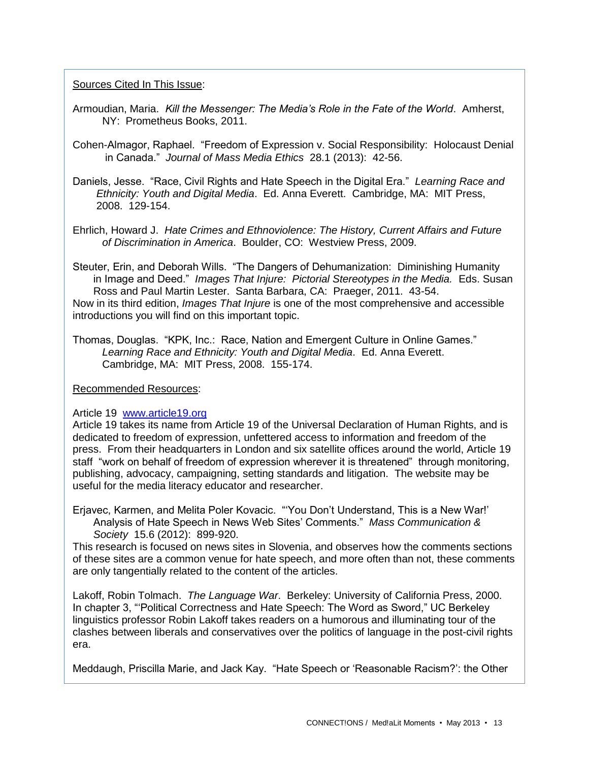#### Sources Cited In This Issue:

Armoudian, Maria. *Kill the Messenger: The Media's Role in the Fate of the World*. Amherst, NY: Prometheus Books, 2011.

Cohen-Almagor, Raphael. "Freedom of Expression v. Social Responsibility: Holocaust Denial in Canada." *Journal of Mass Media Ethics* 28.1 (2013): 42-56.

Daniels, Jesse. "Race, Civil Rights and Hate Speech in the Digital Era." *Learning Race and Ethnicity: Youth and Digital Media*. Ed. Anna Everett. Cambridge, MA: MIT Press, 2008. 129-154.

Ehrlich, Howard J. *Hate Crimes and Ethnoviolence: The History, Current Affairs and Future of Discrimination in America*. Boulder, CO: Westview Press, 2009.

Steuter, Erin, and Deborah Wills. "The Dangers of Dehumanization: Diminishing Humanity in Image and Deed." *Images That Injure: Pictorial Stereotypes in the Media.* Eds. Susan Ross and Paul Martin Lester. Santa Barbara, CA: Praeger, 2011. 43-54. Now in its third edition, *Images That Injure* is one of the most comprehensive and accessible introductions you will find on this important topic.

Thomas, Douglas. "KPK, Inc.: Race, Nation and Emergent Culture in Online Games."  *Learning Race and Ethnicity: Youth and Digital Media*. Ed. Anna Everett. Cambridge, MA: MIT Press, 2008. 155-174.

#### Recommended Resources:

### Article 19 [www.article19.org](http://www.article19.org/)

Article 19 takes its name from Article 19 of the Universal Declaration of Human Rights, and is dedicated to freedom of expression, unfettered access to information and freedom of the press. From their headquarters in London and six satellite offices around the world, Article 19 staff "work on behalf of freedom of expression wherever it is threatened" through monitoring, publishing, advocacy, campaigning, setting standards and litigation. The website may be useful for the media literacy educator and researcher.

Erjavec, Karmen, and Melita Poler Kovacic. "'You Don't Understand, This is a New War!' Analysis of Hate Speech in News Web Sites' Comments." *Mass Communication & Society* 15.6 (2012): 899-920.

This research is focused on news sites in Slovenia, and observes how the comments sections of these sites are a common venue for hate speech, and more often than not, these comments are only tangentially related to the content of the articles.

Lakoff, Robin Tolmach. *The Language War*. Berkeley: University of California Press, 2000. In chapter 3, "'Political Correctness and Hate Speech: The Word as Sword," UC Berkeley linguistics professor Robin Lakoff takes readers on a humorous and illuminating tour of the clashes between liberals and conservatives over the politics of language in the post-civil rights era.

Meddaugh, Priscilla Marie, and Jack Kay. "Hate Speech or 'Reasonable Racism?': the Other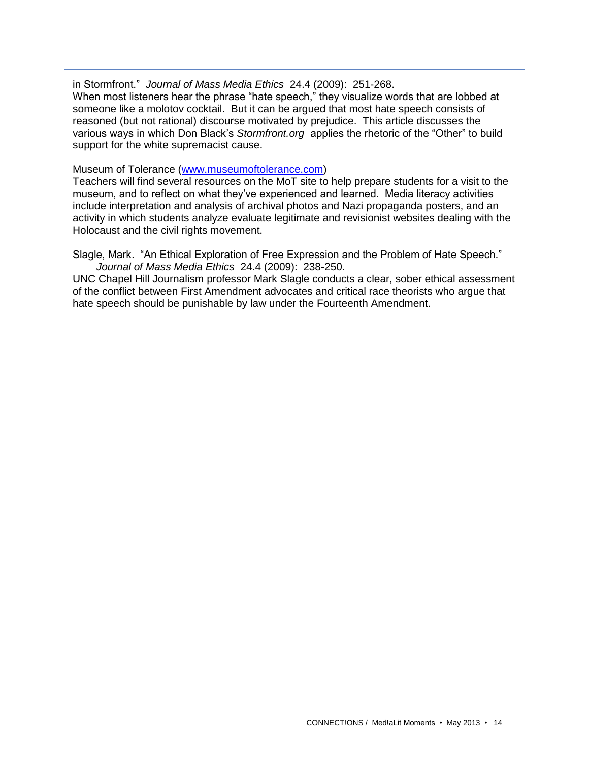in Stormfront." *Journal of Mass Media Ethics* 24.4 (2009): 251-268.

When most listeners hear the phrase "hate speech," they visualize words that are lobbed at someone like a molotov cocktail. But it can be argued that most hate speech consists of reasoned (but not rational) discourse motivated by prejudice. This article discusses the various ways in which Don Black's *Stormfront.org* applies the rhetoric of the "Other" to build support for the white supremacist cause.

Museum of Tolerance [\(www.museumoftolerance.com\)](http://www.museumoftolerance.com/)

Teachers will find several resources on the MoT site to help prepare students for a visit to the museum, and to reflect on what they've experienced and learned. Media literacy activities include interpretation and analysis of archival photos and Nazi propaganda posters, and an activity in which students analyze evaluate legitimate and revisionist websites dealing with the Holocaust and the civil rights movement.

Slagle, Mark. "An Ethical Exploration of Free Expression and the Problem of Hate Speech." *Journal of Mass Media Ethics* 24.4 (2009): 238-250.

UNC Chapel Hill Journalism professor Mark Slagle conducts a clear, sober ethical assessment of the conflict between First Amendment advocates and critical race theorists who argue that hate speech should be punishable by law under the Fourteenth Amendment.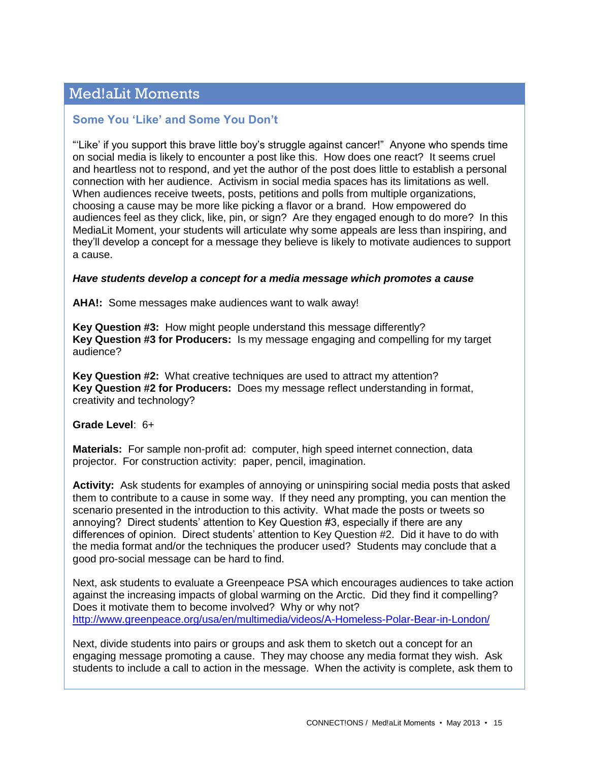# Med!aLit Moments

### **Some You 'Like' and Some You Don't**

"'Like' if you support this brave little boy's struggle against cancer!" Anyone who spends time on social media is likely to encounter a post like this. How does one react? It seems cruel and heartless not to respond, and yet the author of the post does little to establish a personal connection with her audience. Activism in social media spaces has its limitations as well. When audiences receive tweets, posts, petitions and polls from multiple organizations, choosing a cause may be more like picking a flavor or a brand. How empowered do audiences feel as they click, like, pin, or sign? Are they engaged enough to do more? In this MediaLit Moment, your students will articulate why some appeals are less than inspiring, and they'll develop a concept for a message they believe is likely to motivate audiences to support a cause.

#### *Have students develop a concept for a media message which promotes a cause*

**AHA!:** Some messages make audiences want to walk away!

**Key Question #3:** How might people understand this message differently? **Key Question #3 for Producers:** Is my message engaging and compelling for my target audience?

**Key Question #2:** What creative techniques are used to attract my attention? **Key Question #2 for Producers:** Does my message reflect understanding in format, creativity and technology?

### **Grade Level**: 6+

**Materials:** For sample non-profit ad: computer, high speed internet connection, data projector. For construction activity: paper, pencil, imagination.

**Activity:** Ask students for examples of annoying or uninspiring social media posts that asked them to contribute to a cause in some way. If they need any prompting, you can mention the scenario presented in the introduction to this activity. What made the posts or tweets so annoying? Direct students' attention to Key Question #3, especially if there are any differences of opinion. Direct students' attention to Key Question #2. Did it have to do with the media format and/or the techniques the producer used? Students may conclude that a good pro-social message can be hard to find.

Next, ask students to evaluate a Greenpeace PSA which encourages audiences to take action against the increasing impacts of global warming on the Arctic. Did they find it compelling? Does it motivate them to become involved? Why or why not? <http://www.greenpeace.org/usa/en/multimedia/videos/A-Homeless-Polar-Bear-in-London/>

Next, divide students into pairs or groups and ask them to sketch out a concept for an engaging message promoting a cause. They may choose any media format they wish. Ask students to include a call to action in the message. When the activity is complete, ask them to